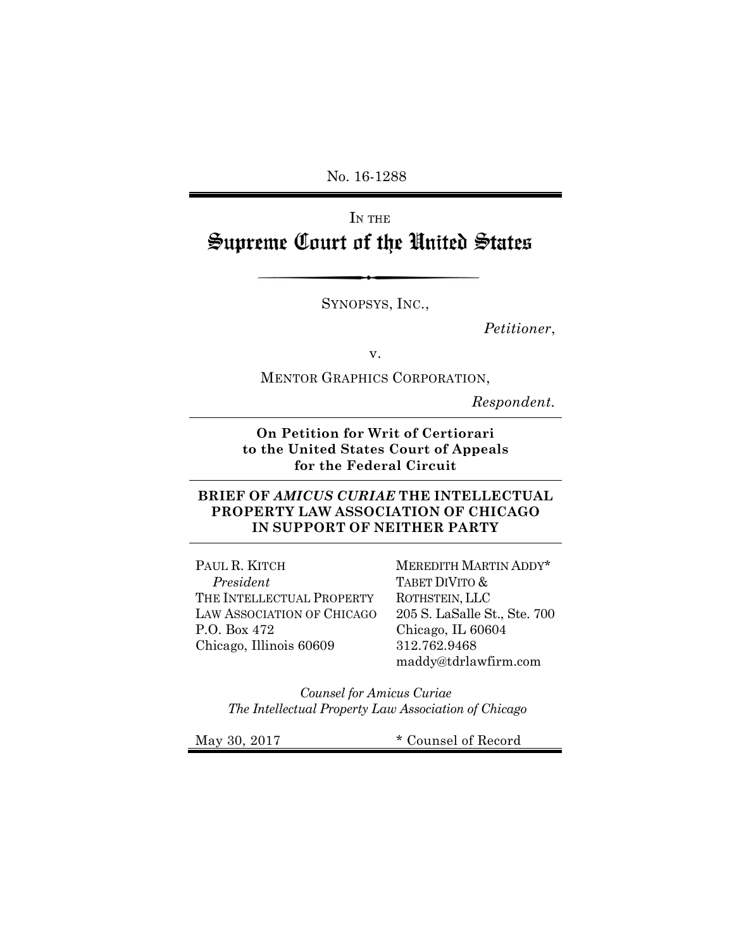No. 16-1288

# IN THE Supreme Court of the United States

SYNOPSYS, INC.,

*Petitioner*,

v.

MENTOR GRAPHICS CORPORATION,

*Respondent.*

**On Petition for Writ of Certiorari to the United States Court of Appeals for the Federal Circuit** 

#### **BRIEF OF** *AMICUS CURIAE* **THE INTELLECTUAL PROPERTY LAW ASSOCIATION OF CHICAGO IN SUPPORT OF NEITHER PARTY**

PAUL R. KITCH *President* THE INTELLECTUAL PROPERTY LAW ASSOCIATION OF CHICAGO P.O. Box 472 Chicago, Illinois 60609

MEREDITH MARTIN ADDY\* TABET DIVITO & ROTHSTEIN, LLC 205 S. LaSalle St., Ste. 700 Chicago, IL 60604 312.762.9468 maddy@tdrlawfirm.com

*Counsel for Amicus Curiae The Intellectual Property Law Association of Chicago* 

May 30, 2017  $*$  Counsel of Record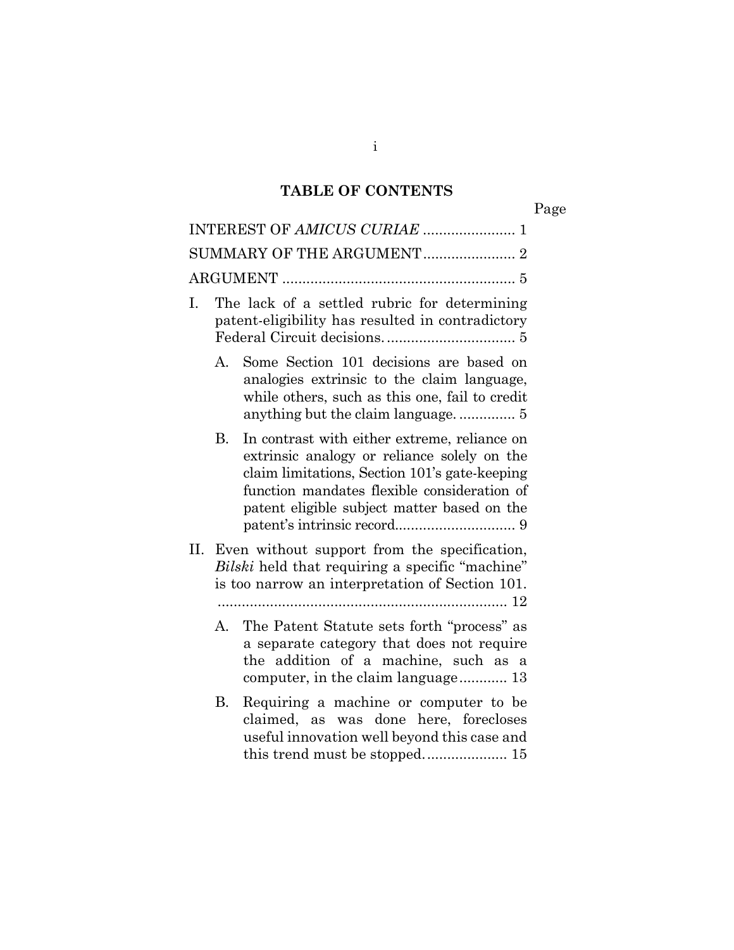## **TABLE OF CONTENTS**

Page

|                                                                                                                                                               | INTEREST OF AMICUS CURIAE  1                                                                                                                                                                                                               |
|---------------------------------------------------------------------------------------------------------------------------------------------------------------|--------------------------------------------------------------------------------------------------------------------------------------------------------------------------------------------------------------------------------------------|
|                                                                                                                                                               |                                                                                                                                                                                                                                            |
|                                                                                                                                                               |                                                                                                                                                                                                                                            |
| I.                                                                                                                                                            | The lack of a settled rubric for determining<br>patent-eligibility has resulted in contradictory                                                                                                                                           |
| А.                                                                                                                                                            | Some Section 101 decisions are based on<br>analogies extrinsic to the claim language,<br>while others, such as this one, fail to credit                                                                                                    |
| В.                                                                                                                                                            | In contrast with either extreme, reliance on<br>extrinsic analogy or reliance solely on the<br>claim limitations, Section 101's gate-keeping<br>function mandates flexible consideration of<br>patent eligible subject matter based on the |
| II. Even without support from the specification,<br><i>Bilski</i> held that requiring a specific "machine"<br>is too narrow an interpretation of Section 101. |                                                                                                                                                                                                                                            |
| $A_{-}$                                                                                                                                                       | The Patent Statute sets forth "process" as<br>a separate category that does not require<br>the addition of a machine, such as a<br>computer, in the claim language 13                                                                      |
| В.                                                                                                                                                            | Requiring a machine or computer to be<br>claimed, as was done here, forecloses<br>useful innovation well beyond this case and<br>this trend must be stopped 15                                                                             |

i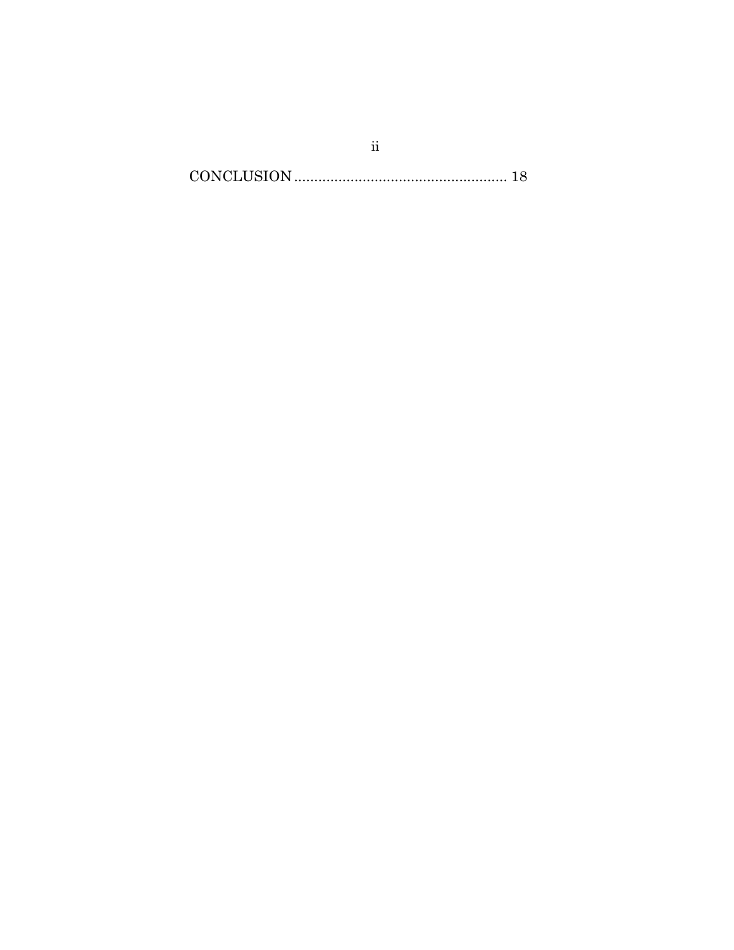$CONCLUSION. \label{eq:convex} {\small CONCLUSION.} \vspace{-0.00000cm} \begin{minipage}{0.95\textwidth} \centering \begin{tabular}{@{}l@{}} \hline \textbf{18} & \textbf{29} & \textbf{39} & \textbf{49} \\ \hline \textbf{20} & \textbf{39} & \textbf{49} & \textbf{59} \\ \textbf{50} & \textbf{50} & \textbf{50} & \textbf{50} \\ \textbf{60} & \textbf{60} & \textbf{60} & \textbf{60} \\ \textbf{70} & \textbf{80} & \textbf{80} & \$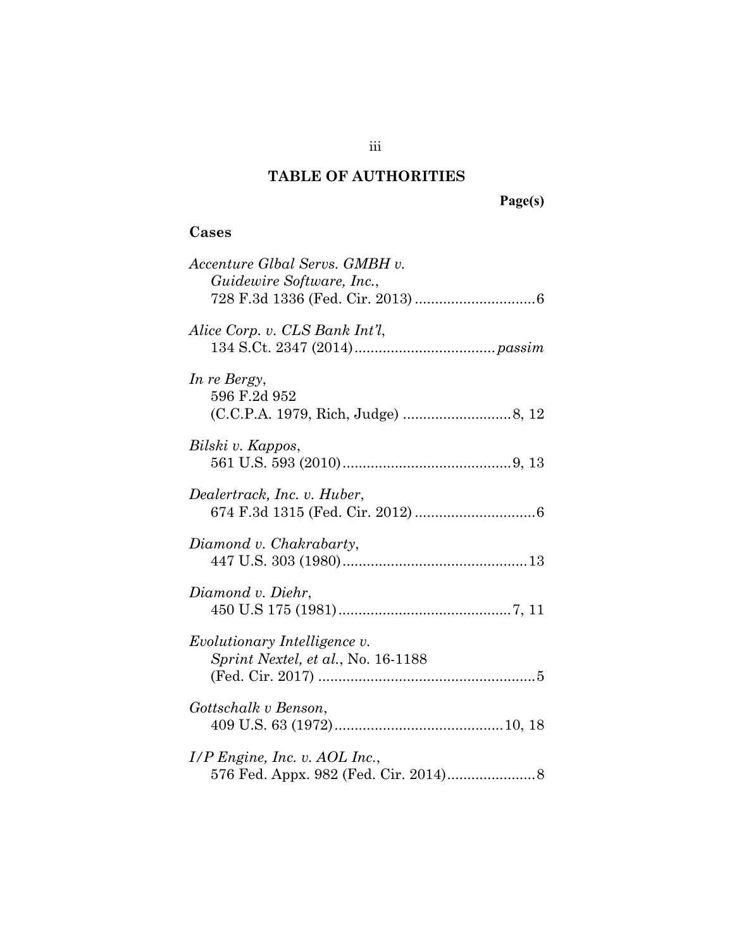## **TABLE OF AUTHORITIES**

## **Cases**

| Accenture Glbal Servs. GMBH v.<br>Guidewire Software, Inc.,        |
|--------------------------------------------------------------------|
| Alice Corp. v. CLS Bank Int'l,                                     |
| In re Bergy,<br>596 F.2d 952                                       |
| Bilski v. Kappos,                                                  |
| Dealertrack, Inc. v. Huber,                                        |
| Diamond v. Chakrabarty,                                            |
| Diamond v. Diehr,                                                  |
| Evolutionary Intelligence v.<br>Sprint Nextel, et al., No. 16-1188 |
| Gottschalk v Benson,                                               |
| $I/P$ Engine, Inc. v. AOL Inc.,                                    |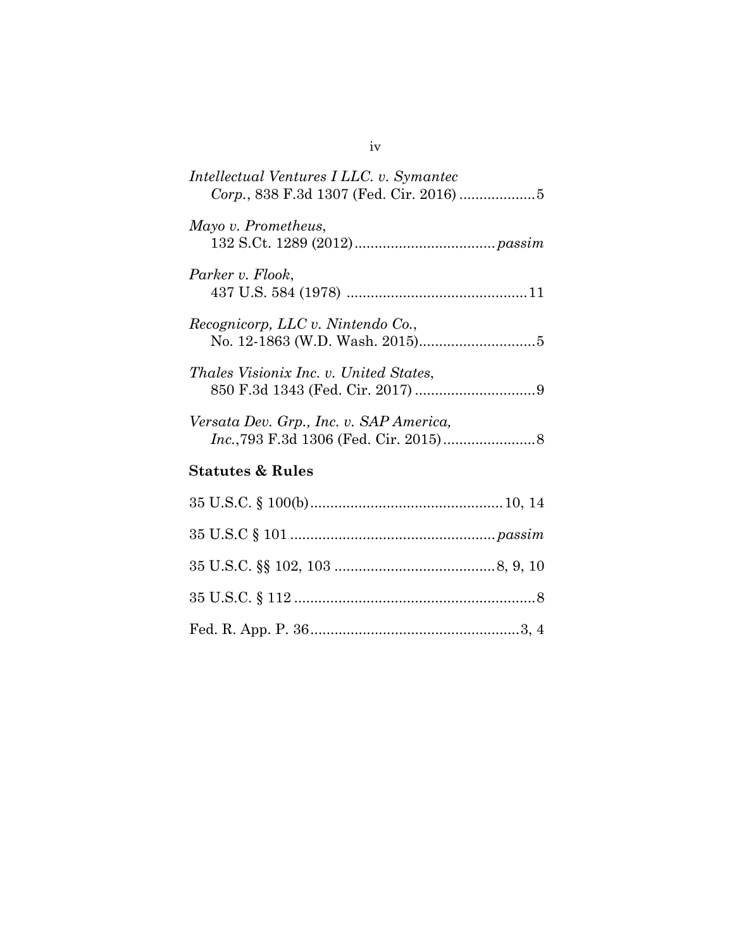| Intellectual Ventures I LLC. v. Symantec      |  |  |
|-----------------------------------------------|--|--|
| Mayo v. Prometheus,                           |  |  |
| Parker v. Flook,                              |  |  |
| Recognicorp, LLC v. Nintendo Co.,             |  |  |
| <i>Thales Visionix Inc. v. United States,</i> |  |  |
| Versata Dev. Grp., Inc. v. SAP America,       |  |  |
| <b>Statutes &amp; Rules</b>                   |  |  |
|                                               |  |  |
|                                               |  |  |
|                                               |  |  |
|                                               |  |  |
|                                               |  |  |

## iv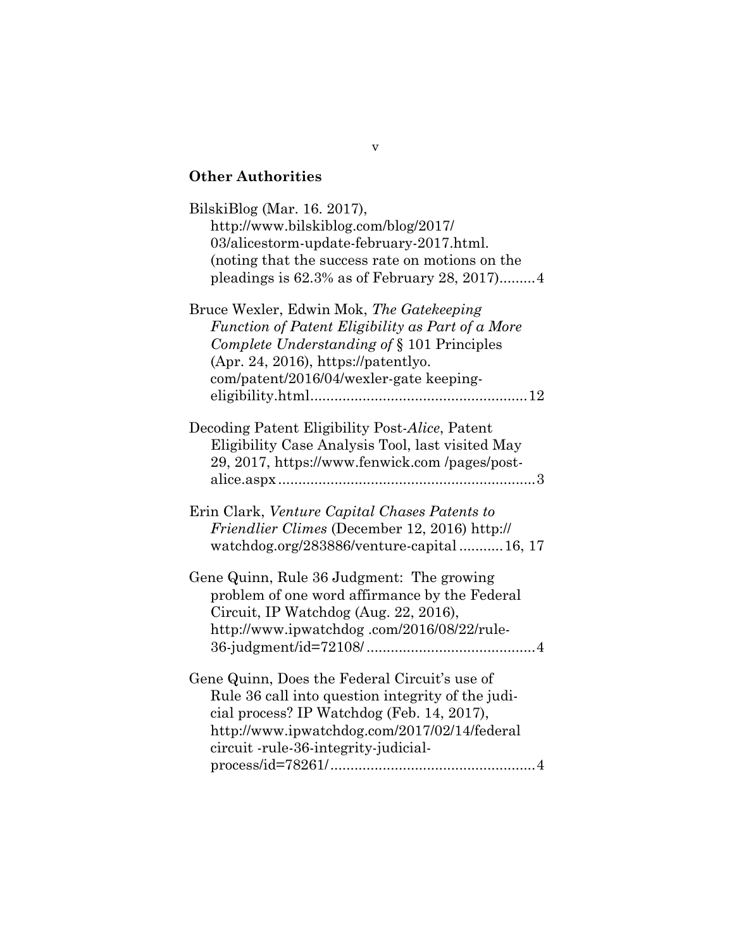## **Other Authorities**

| BilskiBlog (Mar. 16. 2017),<br>http://www.bilskiblog.com/blog/2017/<br>03/alicestorm-update-february-2017.html.<br>(noting that the success rate on motions on the<br>pleadings is $62.3\%$ as of February 28, 2017)4                    |
|------------------------------------------------------------------------------------------------------------------------------------------------------------------------------------------------------------------------------------------|
| Bruce Wexler, Edwin Mok, The Gatekeeping<br>Function of Patent Eligibility as Part of a More<br>Complete Understanding of § 101 Principles<br>$(Apr. 24, 2016)$ , https://patentlyo.<br>com/patent/2016/04/wexler-gate keeping-          |
| Decoding Patent Eligibility Post-Alice, Patent<br>Eligibility Case Analysis Tool, last visited May<br>29, 2017, https://www.fenwick.com/pages/post-<br>alice.aspx                                                                        |
| Erin Clark, Venture Capital Chases Patents to<br>Friendlier Climes (December 12, 2016) http://<br>watchdog.org/283886/venture-capital16, 17                                                                                              |
| Gene Quinn, Rule 36 Judgment: The growing<br>problem of one word affirmance by the Federal<br>Circuit, IP Watchdog (Aug. 22, 2016),<br>http://www.ipwatchdog.com/2016/08/22/rule-                                                        |
| Gene Quinn, Does the Federal Circuit's use of<br>Rule 36 call into question integrity of the judi-<br>cial process? IP Watchdog (Feb. 14, 2017),<br>http://www.ipwatchdog.com/2017/02/14/federal<br>circuit -rule-36-integrity-judicial- |

v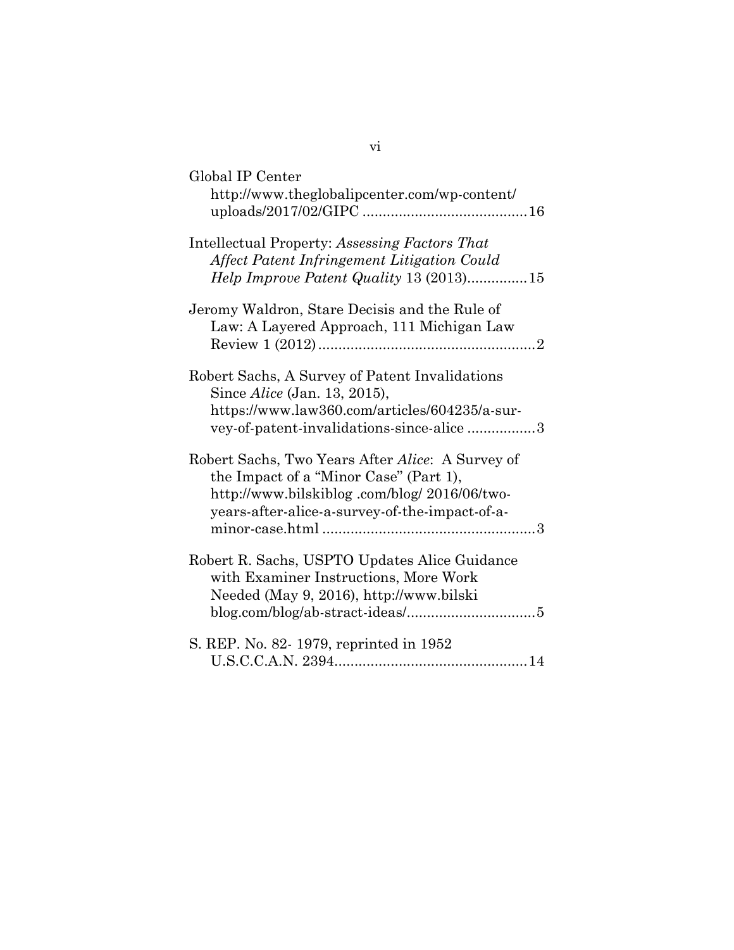| Global IP Center<br>http://www.theglobalipcenter.com/wp-content/                                                                                                                            |
|---------------------------------------------------------------------------------------------------------------------------------------------------------------------------------------------|
| Intellectual Property: Assessing Factors That<br>Affect Patent Infringement Litigation Could<br>Help Improve Patent Quality 13 (2013)15                                                     |
| Jeromy Waldron, Stare Decisis and the Rule of<br>Law: A Layered Approach, 111 Michigan Law                                                                                                  |
| Robert Sachs, A Survey of Patent Invalidations<br>Since <i>Alice</i> (Jan. 13, 2015),<br>https://www.law360.com/articles/604235/a-sur-<br>vey-of-patent-invalidations-since-alice 3         |
| Robert Sachs, Two Years After Alice: A Survey of<br>the Impact of a "Minor Case" (Part 1),<br>http://www.bilskiblog.com/blog/2016/06/two-<br>years-after-alice-a-survey-of-the-impact-of-a- |
| Robert R. Sachs, USPTO Updates Alice Guidance<br>with Examiner Instructions, More Work<br>Needed (May 9, 2016), http://www.bilski                                                           |
| S. REP. No. 82-1979, reprinted in 1952                                                                                                                                                      |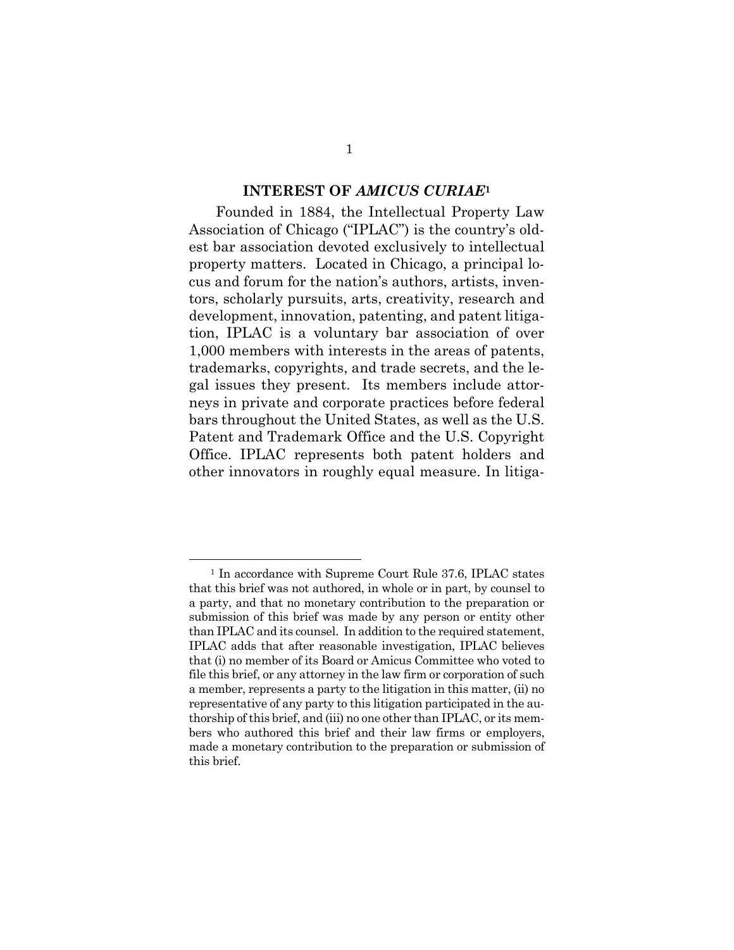#### **INTEREST OF** *AMICUS CURIAE***<sup>1</sup>**

Founded in 1884, the Intellectual Property Law Association of Chicago ("IPLAC") is the country's oldest bar association devoted exclusively to intellectual property matters. Located in Chicago, a principal locus and forum for the nation's authors, artists, inventors, scholarly pursuits, arts, creativity, research and development, innovation, patenting, and patent litigation, IPLAC is a voluntary bar association of over 1,000 members with interests in the areas of patents, trademarks, copyrights, and trade secrets, and the legal issues they present. Its members include attorneys in private and corporate practices before federal bars throughout the United States, as well as the U.S. Patent and Trademark Office and the U.S. Copyright Office. IPLAC represents both patent holders and other innovators in roughly equal measure. In litiga-

 $\overline{a}$ 

<sup>&</sup>lt;sup>1</sup> In accordance with Supreme Court Rule 37.6, IPLAC states that this brief was not authored, in whole or in part, by counsel to a party, and that no monetary contribution to the preparation or submission of this brief was made by any person or entity other than IPLAC and its counsel. In addition to the required statement, IPLAC adds that after reasonable investigation, IPLAC believes that (i) no member of its Board or Amicus Committee who voted to file this brief, or any attorney in the law firm or corporation of such a member, represents a party to the litigation in this matter, (ii) no representative of any party to this litigation participated in the authorship of this brief, and (iii) no one other than IPLAC, or its members who authored this brief and their law firms or employers, made a monetary contribution to the preparation or submission of this brief.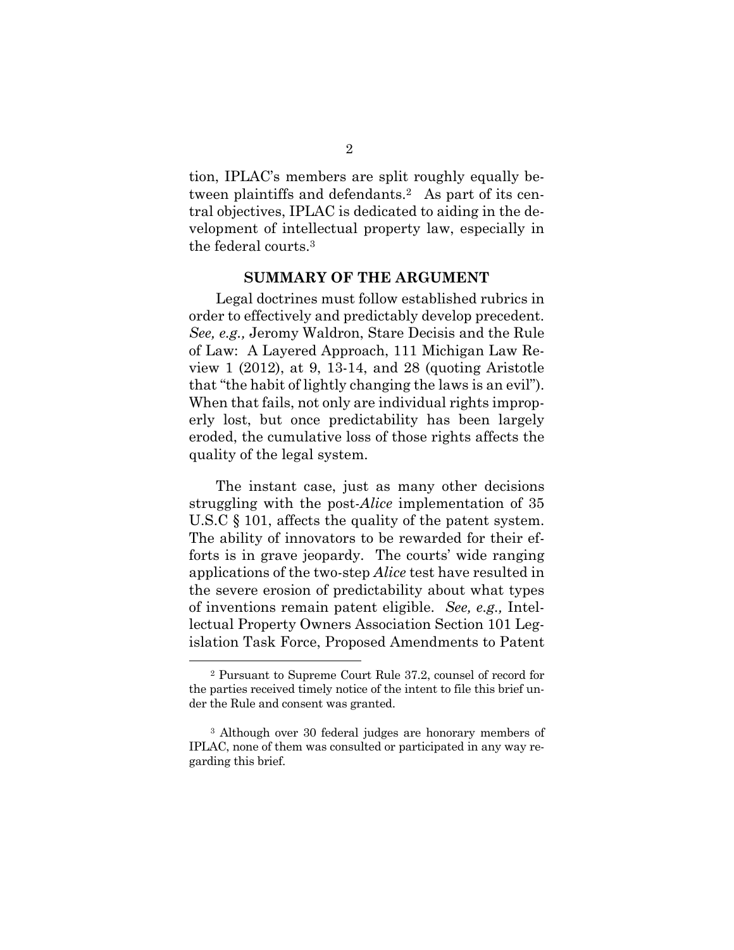tion, IPLAC's members are split roughly equally between plaintiffs and defendants.2 As part of its central objectives, IPLAC is dedicated to aiding in the development of intellectual property law, especially in the federal courts.3

#### **SUMMARY OF THE ARGUMENT**

Legal doctrines must follow established rubrics in order to effectively and predictably develop precedent. *See, e.g.,* Jeromy Waldron, Stare Decisis and the Rule of Law: A Layered Approach, 111 Michigan Law Review 1 (2012), at 9, 13-14, and 28 (quoting Aristotle that "the habit of lightly changing the laws is an evil"). When that fails, not only are individual rights improperly lost, but once predictability has been largely eroded, the cumulative loss of those rights affects the quality of the legal system.

The instant case, just as many other decisions struggling with the post-*Alice* implementation of 35 U.S.C § 101, affects the quality of the patent system. The ability of innovators to be rewarded for their efforts is in grave jeopardy. The courts' wide ranging applications of the two-step *Alice* test have resulted in the severe erosion of predictability about what types of inventions remain patent eligible. *See, e.g.,* Intellectual Property Owners Association Section 101 Legislation Task Force, Proposed Amendments to Patent

 $\overline{a}$ 

<sup>2</sup> Pursuant to Supreme Court Rule 37.2, counsel of record for the parties received timely notice of the intent to file this brief under the Rule and consent was granted.

<sup>3</sup> Although over 30 federal judges are honorary members of IPLAC, none of them was consulted or participated in any way regarding this brief.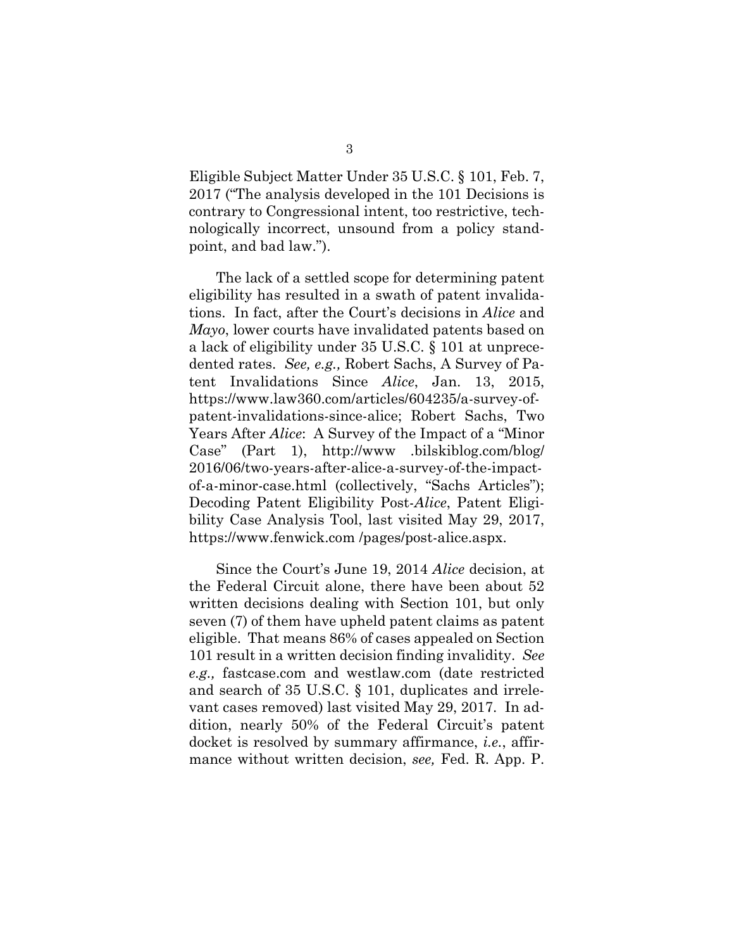Eligible Subject Matter Under 35 U.S.C. § 101, Feb. 7, 2017 ("The analysis developed in the 101 Decisions is contrary to Congressional intent, too restrictive, technologically incorrect, unsound from a policy standpoint, and bad law.").

The lack of a settled scope for determining patent eligibility has resulted in a swath of patent invalidations. In fact, after the Court's decisions in *Alice* and *Mayo*, lower courts have invalidated patents based on a lack of eligibility under 35 U.S.C. § 101 at unprecedented rates. *See, e.g.,* Robert Sachs, A Survey of Patent Invalidations Since *Alice*, Jan. 13, 2015, https://www.law360.com/articles/604235/a-survey-ofpatent-invalidations-since-alice; Robert Sachs, Two Years After *Alice*: A Survey of the Impact of a "Minor Case" (Part 1), http://www .bilskiblog.com/blog/ 2016/06/two-years-after-alice-a-survey-of-the-impactof-a-minor-case.html (collectively, "Sachs Articles"); Decoding Patent Eligibility Post-*Alice*, Patent Eligibility Case Analysis Tool, last visited May 29, 2017, https://www.fenwick.com /pages/post-alice.aspx.

Since the Court's June 19, 2014 *Alice* decision, at the Federal Circuit alone, there have been about 52 written decisions dealing with Section 101, but only seven (7) of them have upheld patent claims as patent eligible. That means 86% of cases appealed on Section 101 result in a written decision finding invalidity. *See e.g.,* fastcase.com and westlaw.com (date restricted and search of 35 U.S.C. § 101, duplicates and irrelevant cases removed) last visited May 29, 2017. In addition, nearly 50% of the Federal Circuit's patent docket is resolved by summary affirmance, *i.e.*, affirmance without written decision, *see,* Fed. R. App. P.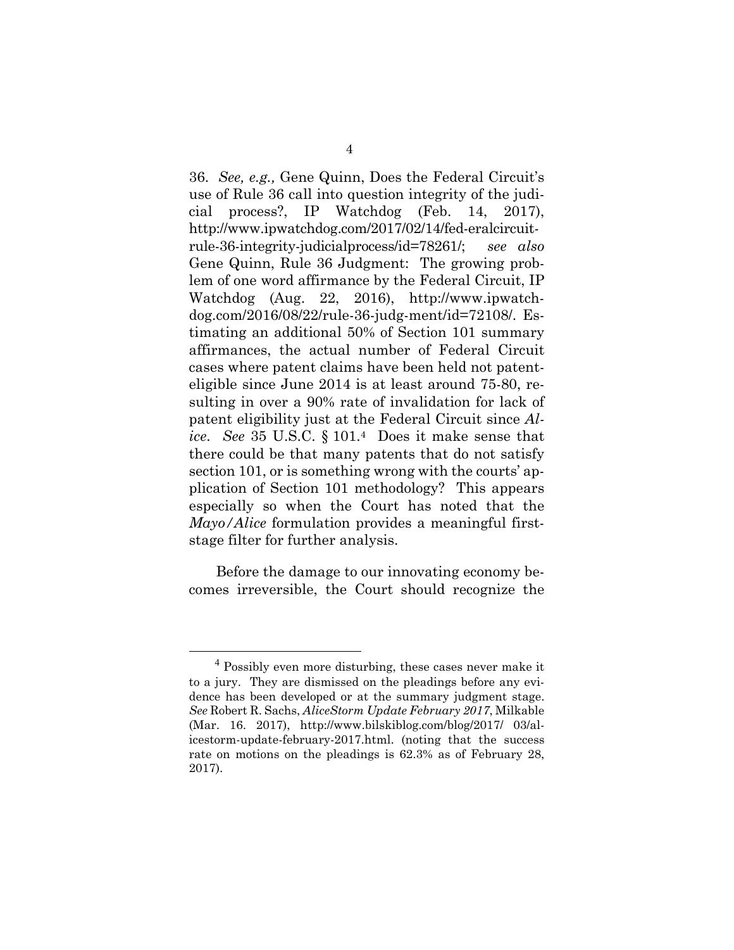36. *See, e.g.,* Gene Quinn, Does the Federal Circuit's use of Rule 36 call into question integrity of the judicial process?, IP Watchdog (Feb. 14, 2017), http://www.ipwatchdog.com/2017/02/14/fed-eralcircuitrule-36-integrity-judicialprocess/id=78261/; *see also*  Gene Quinn, Rule 36 Judgment: The growing problem of one word affirmance by the Federal Circuit, IP Watchdog (Aug. 22, 2016), http://www.ipwatchdog.com/2016/08/22/rule-36-judg-ment/id=72108/. Estimating an additional 50% of Section 101 summary affirmances, the actual number of Federal Circuit cases where patent claims have been held not patenteligible since June 2014 is at least around 75-80, resulting in over a 90% rate of invalidation for lack of patent eligibility just at the Federal Circuit since *Alice*. *See* 35 U.S.C. § 101.4 Does it make sense that there could be that many patents that do not satisfy section 101, or is something wrong with the courts' application of Section 101 methodology? This appears especially so when the Court has noted that the *Mayo/Alice* formulation provides a meaningful firststage filter for further analysis.

Before the damage to our innovating economy becomes irreversible, the Court should recognize the

 <sup>4</sup> Possibly even more disturbing, these cases never make it to a jury. They are dismissed on the pleadings before any evidence has been developed or at the summary judgment stage. *See* Robert R. Sachs, *AliceStorm Update February 2017*, Milkable (Mar. 16. 2017), http://www.bilskiblog.com/blog/2017/ 03/alicestorm-update-february-2017.html. (noting that the success rate on motions on the pleadings is 62.3% as of February 28, 2017).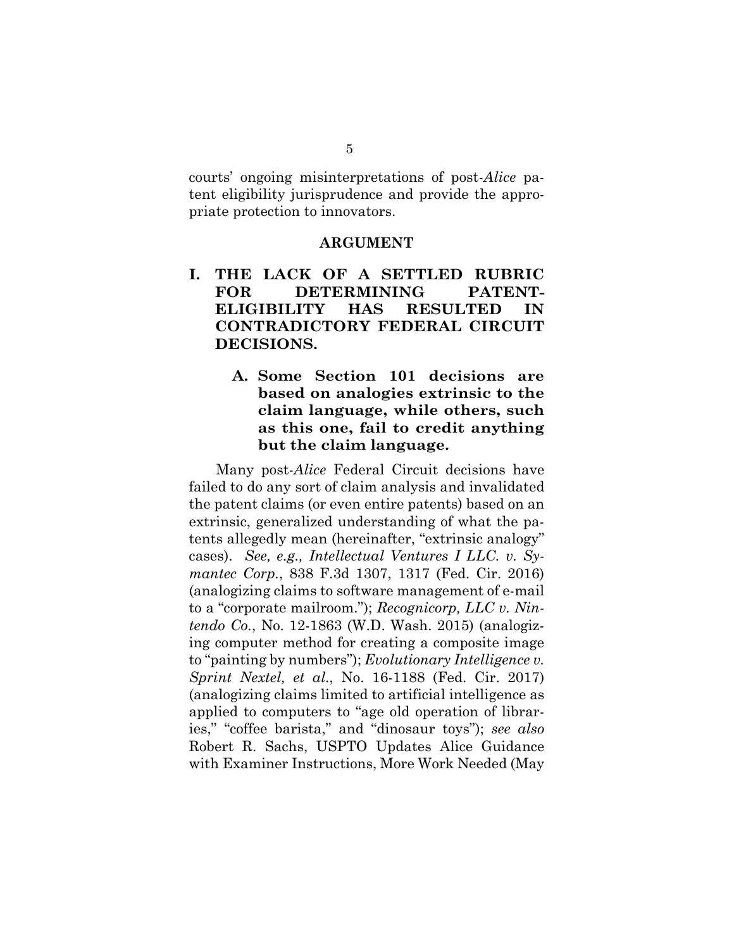courts' ongoing misinterpretations of post-*Alice* patent eligibility jurisprudence and provide the appropriate protection to innovators.

#### **ARGUMENT**

- **I. THE LACK OF A SETTLED RUBRIC FOR DETERMINING PATENT-ELIGIBILITY HAS RESULTED IN CONTRADICTORY FEDERAL CIRCUIT DECISIONS.** 
	- **A. Some Section 101 decisions are based on analogies extrinsic to the claim language, while others, such as this one, fail to credit anything but the claim language.**

Many post-*Alice* Federal Circuit decisions have failed to do any sort of claim analysis and invalidated the patent claims (or even entire patents) based on an extrinsic, generalized understanding of what the patents allegedly mean (hereinafter, "extrinsic analogy" cases). *See, e.g., Intellectual Ventures I LLC. v. Symantec Corp.*, 838 F.3d 1307, 1317 (Fed. Cir. 2016) (analogizing claims to software management of e-mail to a "corporate mailroom."); *Recognicorp, LLC v. Nintendo Co.*, No. 12-1863 (W.D. Wash. 2015) (analogizing computer method for creating a composite image to "painting by numbers"); *Evolutionary Intelligence v. Sprint Nextel, et al.*, No. 16-1188 (Fed. Cir. 2017) (analogizing claims limited to artificial intelligence as applied to computers to "age old operation of libraries," "coffee barista," and "dinosaur toys"); *see also*  Robert R. Sachs, USPTO Updates Alice Guidance with Examiner Instructions, More Work Needed (May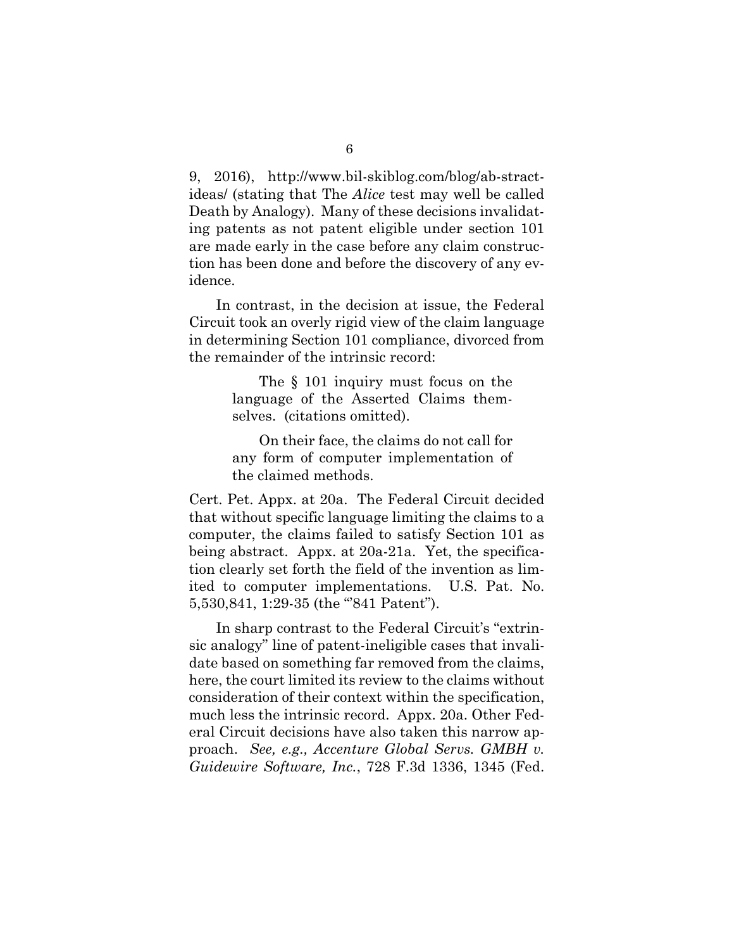9, 2016), http://www.bil-skiblog.com/blog/ab-stractideas/ (stating that The *Alice* test may well be called Death by Analogy). Many of these decisions invalidating patents as not patent eligible under section 101 are made early in the case before any claim construction has been done and before the discovery of any evidence.

In contrast, in the decision at issue, the Federal Circuit took an overly rigid view of the claim language in determining Section 101 compliance, divorced from the remainder of the intrinsic record:

> The § 101 inquiry must focus on the language of the Asserted Claims themselves. (citations omitted).

> On their face, the claims do not call for any form of computer implementation of the claimed methods.

Cert. Pet. Appx. at 20a. The Federal Circuit decided that without specific language limiting the claims to a computer, the claims failed to satisfy Section 101 as being abstract. Appx. at 20a-21a. Yet, the specification clearly set forth the field of the invention as limited to computer implementations. U.S. Pat. No. 5,530,841, 1:29-35 (the "841 Patent").

In sharp contrast to the Federal Circuit's "extrinsic analogy" line of patent-ineligible cases that invalidate based on something far removed from the claims, here, the court limited its review to the claims without consideration of their context within the specification, much less the intrinsic record. Appx. 20a. Other Federal Circuit decisions have also taken this narrow approach. *See, e.g., Accenture Global Servs. GMBH v. Guidewire Software, Inc.*, 728 F.3d 1336, 1345 (Fed.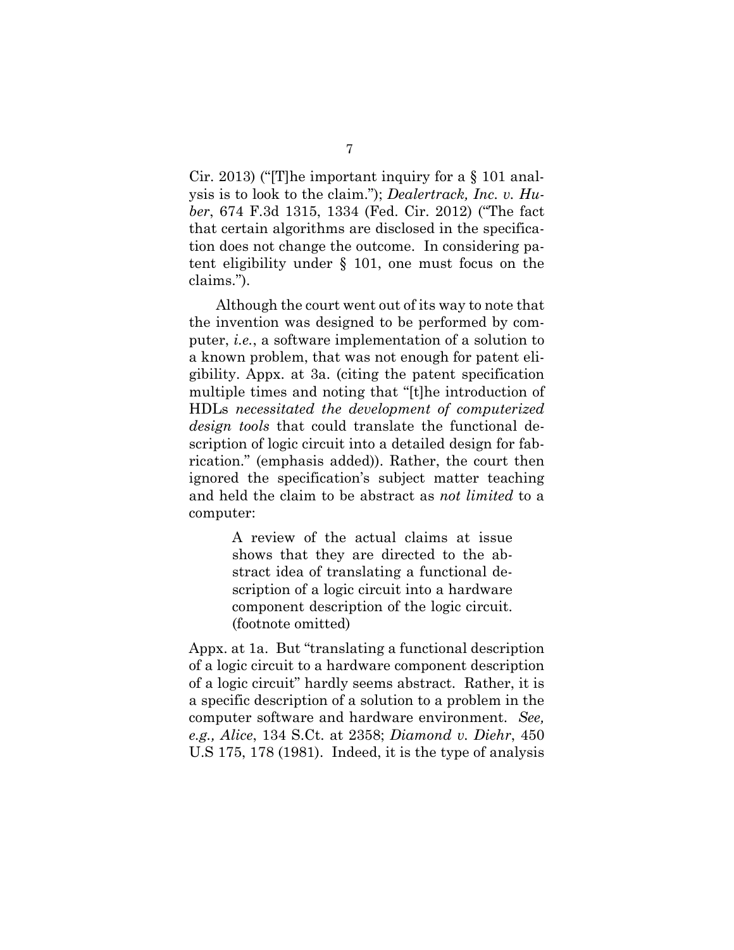Cir. 2013) ("[T]he important inquiry for a § 101 analysis is to look to the claim."); *Dealertrack, Inc. v. Huber*, 674 F.3d 1315, 1334 (Fed. Cir. 2012) ("The fact that certain algorithms are disclosed in the specification does not change the outcome. In considering patent eligibility under § 101, one must focus on the claims.").

Although the court went out of its way to note that the invention was designed to be performed by computer, *i.e.*, a software implementation of a solution to a known problem, that was not enough for patent eligibility. Appx. at 3a. (citing the patent specification multiple times and noting that "[t]he introduction of HDLs *necessitated the development of computerized design tools* that could translate the functional description of logic circuit into a detailed design for fabrication." (emphasis added)). Rather, the court then ignored the specification's subject matter teaching and held the claim to be abstract as *not limited* to a computer:

> A review of the actual claims at issue shows that they are directed to the abstract idea of translating a functional description of a logic circuit into a hardware component description of the logic circuit. (footnote omitted)

Appx. at 1a. But "translating a functional description of a logic circuit to a hardware component description of a logic circuit" hardly seems abstract. Rather, it is a specific description of a solution to a problem in the computer software and hardware environment. *See, e.g., Alice*, 134 S.Ct. at 2358; *Diamond v. Diehr*, 450 U.S 175, 178 (1981). Indeed, it is the type of analysis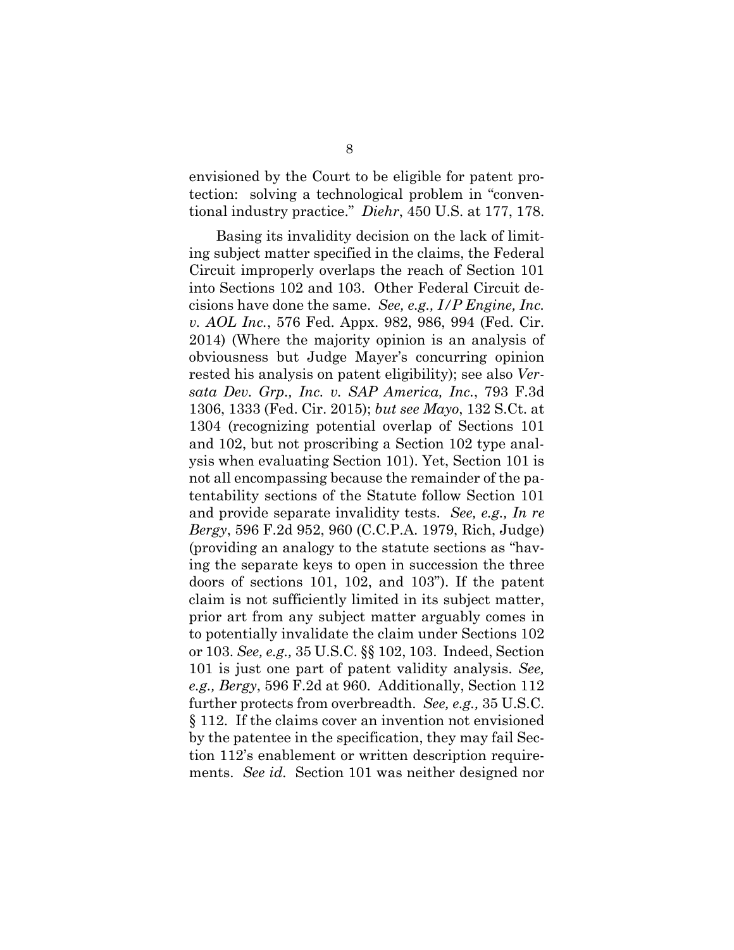envisioned by the Court to be eligible for patent protection: solving a technological problem in "conventional industry practice." *Diehr*, 450 U.S. at 177, 178.

Basing its invalidity decision on the lack of limiting subject matter specified in the claims, the Federal Circuit improperly overlaps the reach of Section 101 into Sections 102 and 103. Other Federal Circuit decisions have done the same. *See, e.g., I/P Engine, Inc. v. AOL Inc.*, 576 Fed. Appx. 982, 986, 994 (Fed. Cir. 2014) (Where the majority opinion is an analysis of obviousness but Judge Mayer's concurring opinion rested his analysis on patent eligibility); see also *Versata Dev. Grp., Inc. v. SAP America, Inc.*, 793 F.3d 1306, 1333 (Fed. Cir. 2015); *but see Mayo*, 132 S.Ct. at 1304 (recognizing potential overlap of Sections 101 and 102, but not proscribing a Section 102 type analysis when evaluating Section 101). Yet, Section 101 is not all encompassing because the remainder of the patentability sections of the Statute follow Section 101 and provide separate invalidity tests. *See, e.g., In re Bergy*, 596 F.2d 952, 960 (C.C.P.A. 1979, Rich, Judge) (providing an analogy to the statute sections as "having the separate keys to open in succession the three doors of sections 101, 102, and 103"). If the patent claim is not sufficiently limited in its subject matter, prior art from any subject matter arguably comes in to potentially invalidate the claim under Sections 102 or 103. *See, e.g.,* 35 U.S.C. §§ 102, 103. Indeed, Section 101 is just one part of patent validity analysis. *See, e.g., Bergy*, 596 F.2d at 960. Additionally, Section 112 further protects from overbreadth. *See, e.g.,* 35 U.S.C. § 112. If the claims cover an invention not envisioned by the patentee in the specification, they may fail Section 112's enablement or written description requirements. *See id.* Section 101 was neither designed nor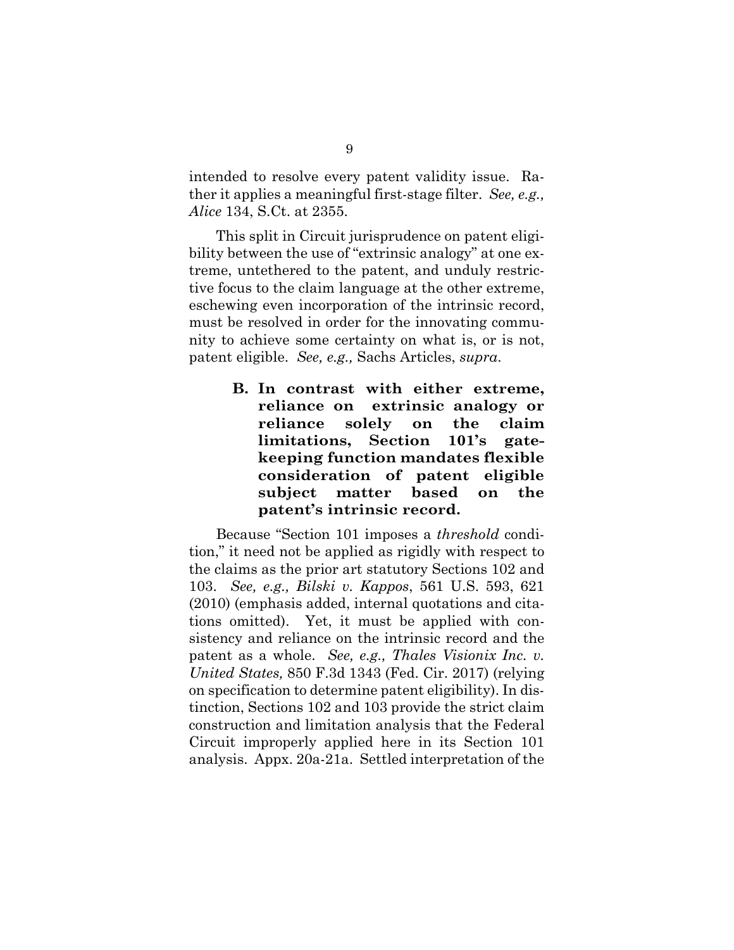intended to resolve every patent validity issue. Rather it applies a meaningful first-stage filter. *See, e.g., Alice* 134, S.Ct. at 2355.

This split in Circuit jurisprudence on patent eligibility between the use of "extrinsic analogy" at one extreme, untethered to the patent, and unduly restrictive focus to the claim language at the other extreme, eschewing even incorporation of the intrinsic record, must be resolved in order for the innovating community to achieve some certainty on what is, or is not, patent eligible. *See, e.g.,* Sachs Articles, *supra*.

> **B. In contrast with either extreme, reliance on extrinsic analogy or reliance solely on the claim limitations, Section 101's gatekeeping function mandates flexible consideration of patent eligible subject matter based on the patent's intrinsic record.**

Because "Section 101 imposes a *threshold* condition," it need not be applied as rigidly with respect to the claims as the prior art statutory Sections 102 and 103. *See, e.g., Bilski v. Kappos*, 561 U.S. 593, 621 (2010) (emphasis added, internal quotations and citations omitted). Yet, it must be applied with consistency and reliance on the intrinsic record and the patent as a whole. *See, e.g., Thales Visionix Inc. v. United States,* 850 F.3d 1343 (Fed. Cir. 2017) (relying on specification to determine patent eligibility). In distinction, Sections 102 and 103 provide the strict claim construction and limitation analysis that the Federal Circuit improperly applied here in its Section 101 analysis. Appx. 20a-21a. Settled interpretation of the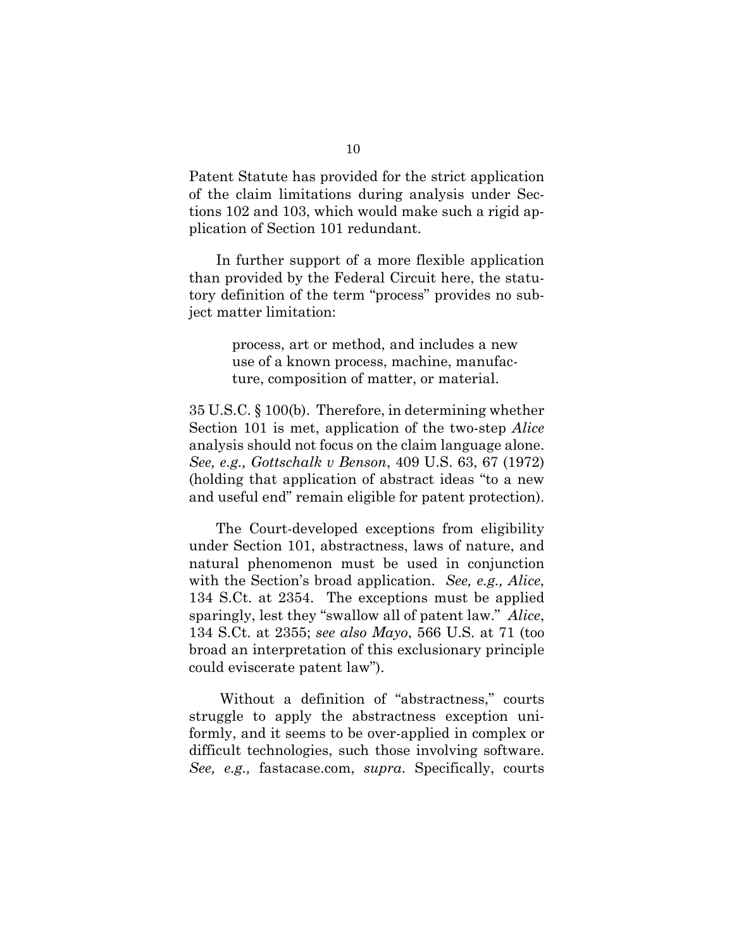Patent Statute has provided for the strict application of the claim limitations during analysis under Sections 102 and 103, which would make such a rigid application of Section 101 redundant.

In further support of a more flexible application than provided by the Federal Circuit here, the statutory definition of the term "process" provides no subject matter limitation:

> process, art or method, and includes a new use of a known process, machine, manufacture, composition of matter, or material.

35 U.S.C. § 100(b). Therefore, in determining whether Section 101 is met, application of the two-step *Alice*  analysis should not focus on the claim language alone. *See, e.g., Gottschalk v Benson*, 409 U.S. 63, 67 (1972) (holding that application of abstract ideas "to a new and useful end" remain eligible for patent protection).

The Court-developed exceptions from eligibility under Section 101, abstractness, laws of nature, and natural phenomenon must be used in conjunction with the Section's broad application. *See, e.g., Alice*, 134 S.Ct. at 2354. The exceptions must be applied sparingly, lest they "swallow all of patent law." *Alice*, 134 S.Ct. at 2355; *see also Mayo*, 566 U.S. at 71 (too broad an interpretation of this exclusionary principle could eviscerate patent law").

 Without a definition of "abstractness," courts struggle to apply the abstractness exception uniformly, and it seems to be over-applied in complex or difficult technologies, such those involving software. *See, e.g.,* fastacase.com, *supra*. Specifically, courts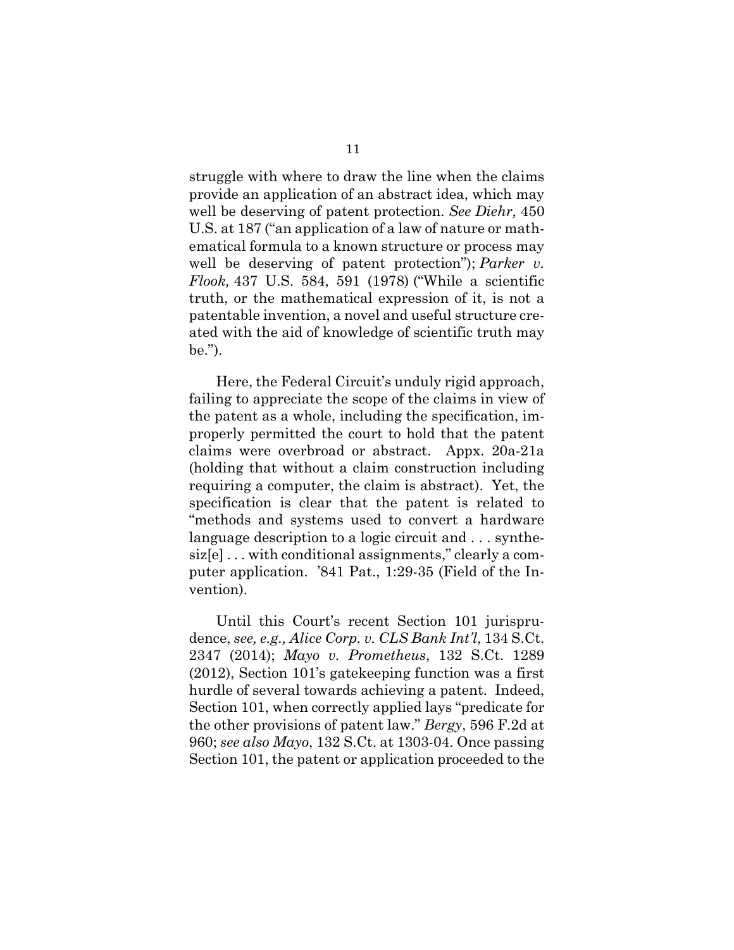struggle with where to draw the line when the claims provide an application of an abstract idea, which may well be deserving of patent protection. *See Diehr,* 450 U.S. at 187 ("an application of a law of nature or mathematical formula to a known structure or process may well be deserving of patent protection"); *Parker v. Flook,* 437 U.S. 584, 591 (1978) ("While a scientific truth, or the mathematical expression of it, is not a patentable invention, a novel and useful structure created with the aid of knowledge of scientific truth may be.").

Here, the Federal Circuit's unduly rigid approach, failing to appreciate the scope of the claims in view of the patent as a whole, including the specification, improperly permitted the court to hold that the patent claims were overbroad or abstract. Appx. 20a-21a (holding that without a claim construction including requiring a computer, the claim is abstract). Yet, the specification is clear that the patent is related to "methods and systems used to convert a hardware language description to a logic circuit and . . . synthesiz[e] . . . with conditional assignments," clearly a computer application. '841 Pat., 1:29-35 (Field of the Invention).

Until this Court's recent Section 101 jurisprudence, *see, e.g., Alice Corp. v. CLS Bank Int'l*, 134 S.Ct. 2347 (2014); *Mayo v. Prometheus*, 132 S.Ct. 1289 (2012), Section 101's gatekeeping function was a first hurdle of several towards achieving a patent. Indeed, Section 101, when correctly applied lays "predicate for the other provisions of patent law." *Bergy*, 596 F.2d at 960; *see also Mayo*, 132 S.Ct. at 1303-04. Once passing Section 101, the patent or application proceeded to the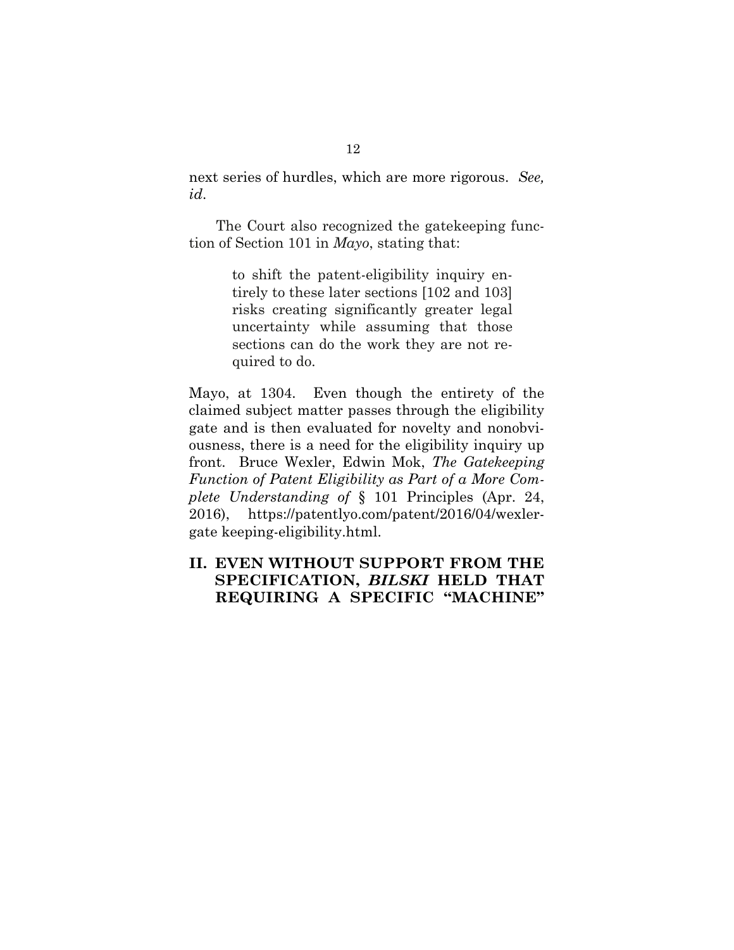next series of hurdles, which are more rigorous. *See, id*.

The Court also recognized the gatekeeping function of Section 101 in *Mayo*, stating that:

> to shift the patent-eligibility inquiry entirely to these later sections [102 and 103] risks creating significantly greater legal uncertainty while assuming that those sections can do the work they are not required to do.

Mayo, at 1304. Even though the entirety of the claimed subject matter passes through the eligibility gate and is then evaluated for novelty and nonobviousness, there is a need for the eligibility inquiry up front. Bruce Wexler, Edwin Mok, *The Gatekeeping Function of Patent Eligibility as Part of a More Complete Understanding of* § 101 Principles (Apr. 24, 2016), https://patentlyo.com/patent/2016/04/wexlergate keeping-eligibility.html.

### **II. EVEN WITHOUT SUPPORT FROM THE SPECIFICATION,** *BILSKI* **HELD THAT REQUIRING A SPECIFIC "MACHINE"**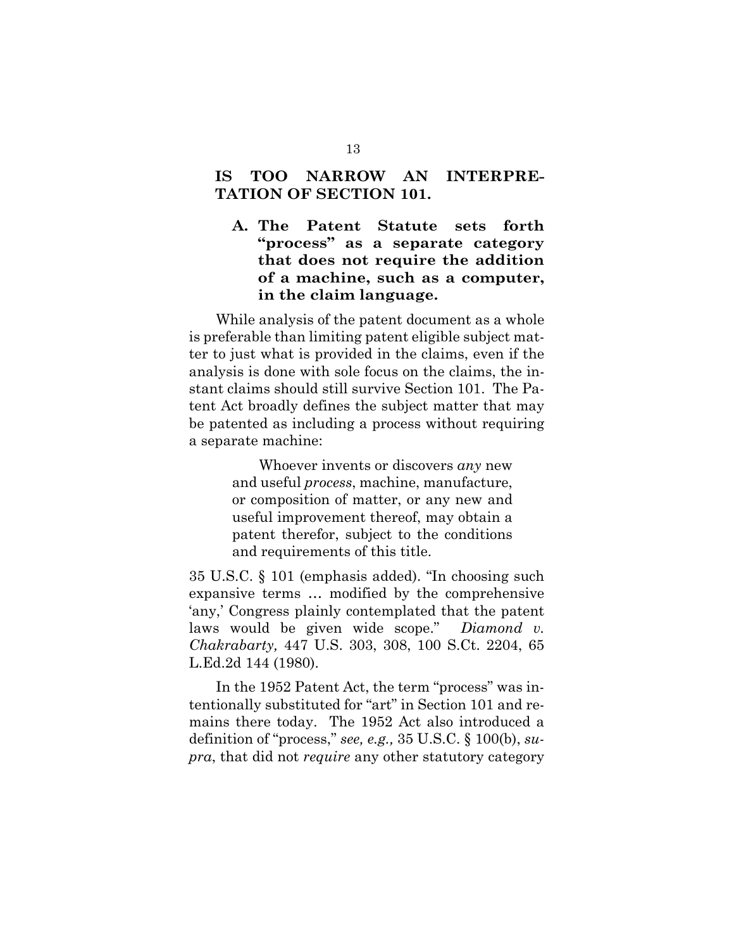### **IS TOO NARROW AN INTERPRE-TATION OF SECTION 101.**

**A. The Patent Statute sets forth "process" as a separate category that does not require the addition of a machine, such as a computer, in the claim language.** 

While analysis of the patent document as a whole is preferable than limiting patent eligible subject matter to just what is provided in the claims, even if the analysis is done with sole focus on the claims, the instant claims should still survive Section 101. The Patent Act broadly defines the subject matter that may be patented as including a process without requiring a separate machine:

> Whoever invents or discovers *any* new and useful *process*, machine, manufacture, or composition of matter, or any new and useful improvement thereof, may obtain a patent therefor, subject to the conditions and requirements of this title.

35 U.S.C. § 101 (emphasis added). "In choosing such expansive terms … modified by the comprehensive 'any,' Congress plainly contemplated that the patent laws would be given wide scope." *Diamond v. Chakrabarty,* 447 U.S. 303, 308, 100 S.Ct. 2204, 65 L.Ed.2d 144 (1980).

In the 1952 Patent Act, the term "process" was intentionally substituted for "art" in Section 101 and remains there today. The 1952 Act also introduced a definition of "process," *see, e.g.,* 35 U.S.C. § 100(b), *supra*, that did not *require* any other statutory category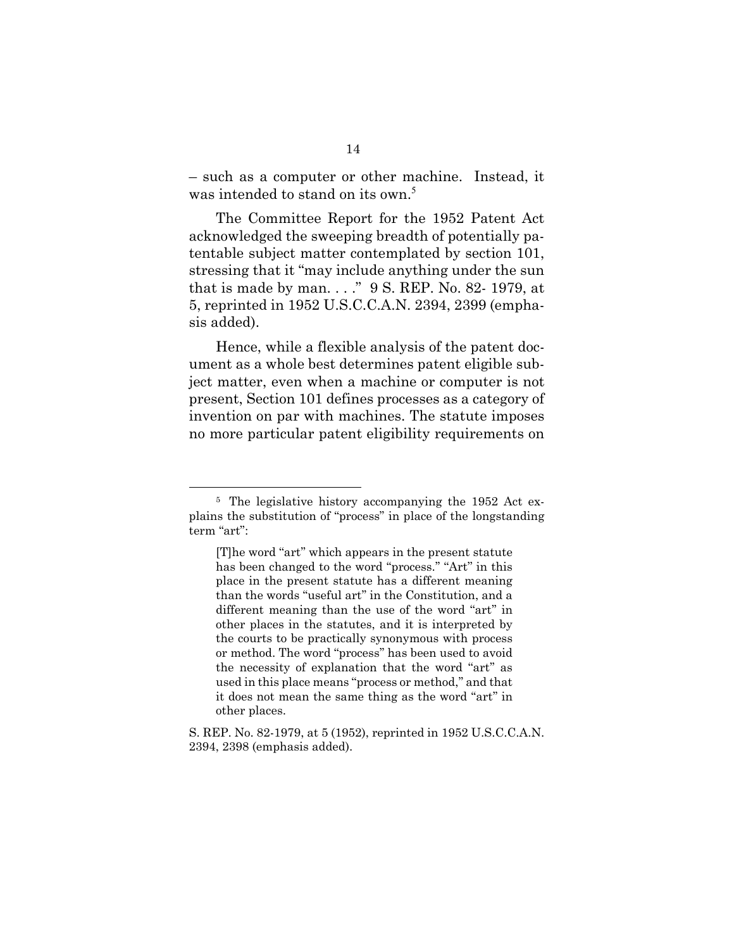– such as a computer or other machine. Instead, it was intended to stand on its own.<sup>5</sup>

The Committee Report for the 1952 Patent Act acknowledged the sweeping breadth of potentially patentable subject matter contemplated by section 101, stressing that it "may include anything under the sun that is made by man. . . ." 9 S. REP. No. 82- 1979, at 5, reprinted in 1952 U.S.C.C.A.N. 2394, 2399 (emphasis added).

Hence, while a flexible analysis of the patent document as a whole best determines patent eligible subject matter, even when a machine or computer is not present, Section 101 defines processes as a category of invention on par with machines. The statute imposes no more particular patent eligibility requirements on

 $\overline{a}$ 

<sup>5</sup> The legislative history accompanying the 1952 Act explains the substitution of "process" in place of the longstanding term "art":

<sup>[</sup>T]he word ''art'' which appears in the present statute has been changed to the word "process." "Art" in this place in the present statute has a different meaning than the words ''useful art'' in the Constitution, and a different meaning than the use of the word "art" in other places in the statutes, and it is interpreted by the courts to be practically synonymous with process or method. The word ''process'' has been used to avoid the necessity of explanation that the word "art" as used in this place means ''process or method,'' and that it does not mean the same thing as the word "art" in other places.

S. REP. No. 82-1979, at 5 (1952), reprinted in 1952 U.S.C.C.A.N. 2394, 2398 (emphasis added).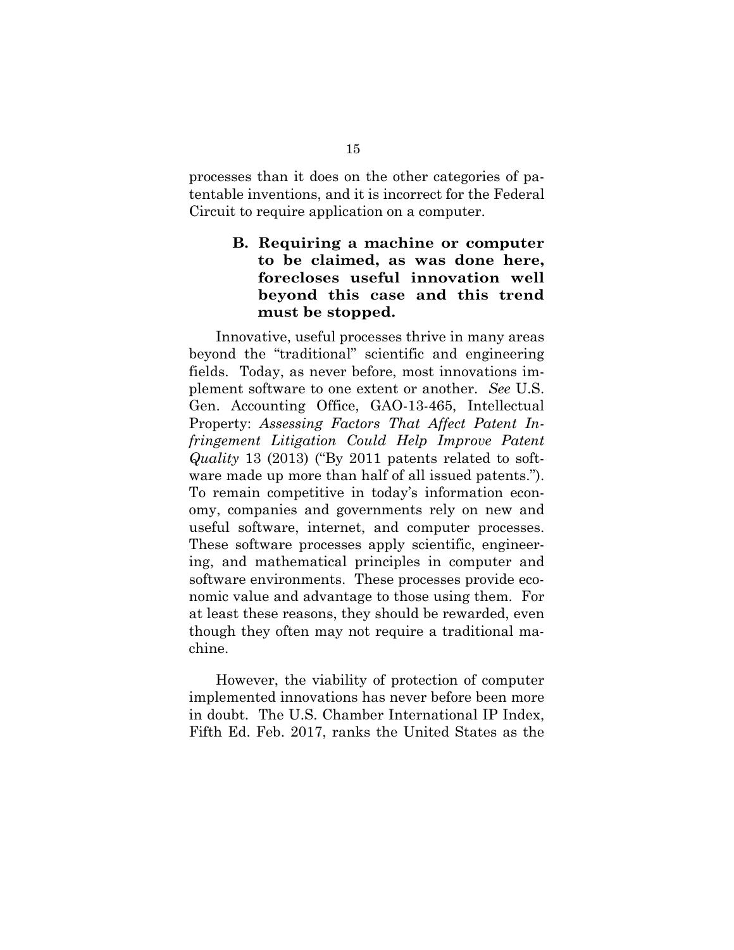processes than it does on the other categories of patentable inventions, and it is incorrect for the Federal Circuit to require application on a computer.

### **B. Requiring a machine or computer to be claimed, as was done here, forecloses useful innovation well beyond this case and this trend must be stopped.**

Innovative, useful processes thrive in many areas beyond the "traditional" scientific and engineering fields. Today, as never before, most innovations implement software to one extent or another. *See* U.S. Gen. Accounting Office, GAO-13-465, Intellectual Property: *Assessing Factors That Affect Patent Infringement Litigation Could Help Improve Patent Quality* 13 (2013) ("By 2011 patents related to software made up more than half of all issued patents."). To remain competitive in today's information economy, companies and governments rely on new and useful software, internet, and computer processes. These software processes apply scientific, engineering, and mathematical principles in computer and software environments. These processes provide economic value and advantage to those using them. For at least these reasons, they should be rewarded, even though they often may not require a traditional machine.

However, the viability of protection of computer implemented innovations has never before been more in doubt. The U.S. Chamber International IP Index, Fifth Ed. Feb. 2017, ranks the United States as the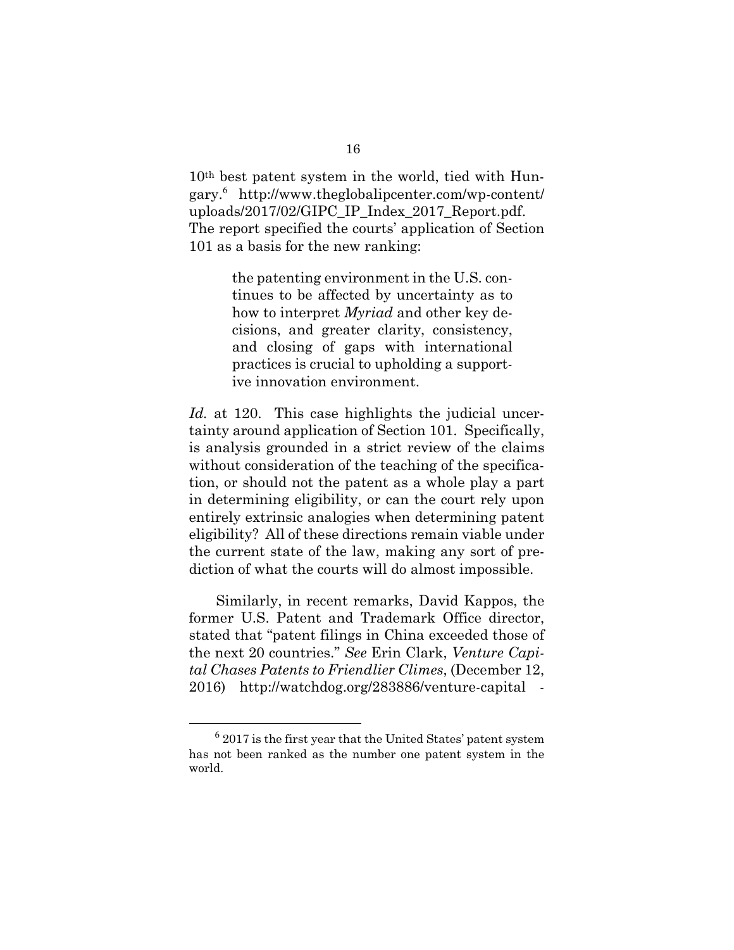10th best patent system in the world, tied with Hungary.<sup>6</sup> http://www.theglobalipcenter.com/wp-content/ uploads/2017/02/GIPC\_IP\_Index\_2017\_Report.pdf. The report specified the courts' application of Section 101 as a basis for the new ranking:

> the patenting environment in the U.S. continues to be affected by uncertainty as to how to interpret *Myriad* and other key decisions, and greater clarity, consistency, and closing of gaps with international practices is crucial to upholding a supportive innovation environment.

*Id.* at 120. This case highlights the judicial uncertainty around application of Section 101. Specifically, is analysis grounded in a strict review of the claims without consideration of the teaching of the specification, or should not the patent as a whole play a part in determining eligibility, or can the court rely upon entirely extrinsic analogies when determining patent eligibility? All of these directions remain viable under the current state of the law, making any sort of prediction of what the courts will do almost impossible.

Similarly, in recent remarks, David Kappos, the former U.S. Patent and Trademark Office director, stated that "patent filings in China exceeded those of the next 20 countries." *See* Erin Clark, *Venture Capital Chases Patents to Friendlier Climes*, (December 12, 2016) http://watchdog.org/283886/venture-capital -

 <sup>6</sup> 2017 is the first year that the United States' patent system has not been ranked as the number one patent system in the world.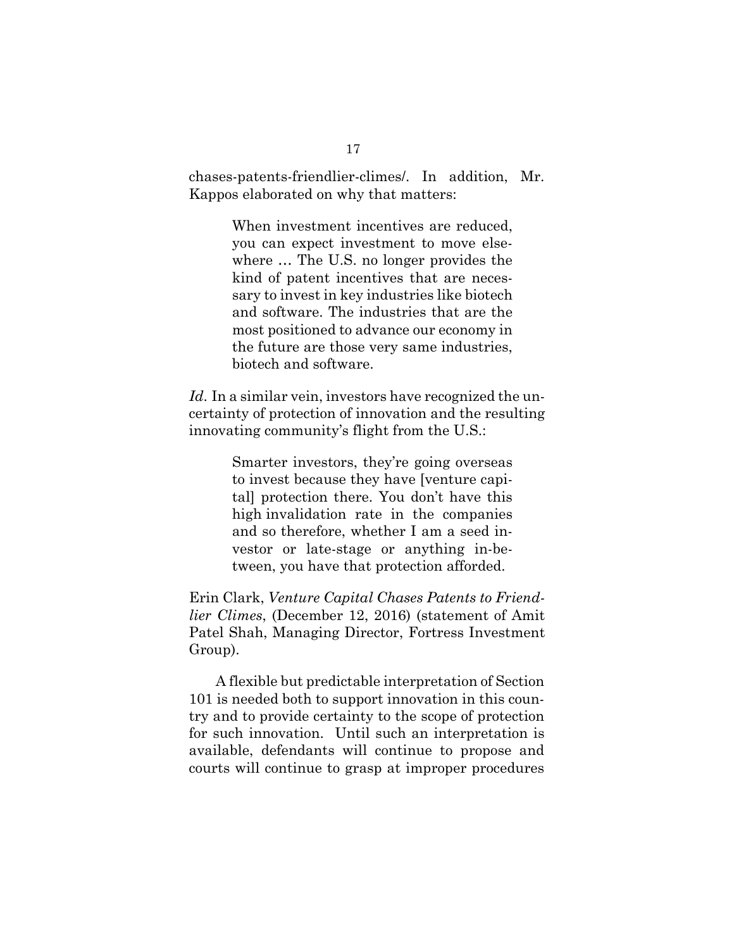chases-patents-friendlier-climes/. In addition, Mr. Kappos elaborated on why that matters:

> When investment incentives are reduced, you can expect investment to move elsewhere … The U.S. no longer provides the kind of patent incentives that are necessary to invest in key industries like biotech and software. The industries that are the most positioned to advance our economy in the future are those very same industries, biotech and software.

*Id*. In a similar vein, investors have recognized the uncertainty of protection of innovation and the resulting innovating community's flight from the U.S.:

> Smarter investors, they're going overseas to invest because they have [venture capital] protection there. You don't have this high invalidation rate in the companies and so therefore, whether I am a seed investor or late-stage or anything in-between, you have that protection afforded.

Erin Clark, *Venture Capital Chases Patents to Friendlier Climes*, (December 12, 2016) (statement of Amit Patel Shah, Managing Director, Fortress Investment Group).

A flexible but predictable interpretation of Section 101 is needed both to support innovation in this country and to provide certainty to the scope of protection for such innovation. Until such an interpretation is available, defendants will continue to propose and courts will continue to grasp at improper procedures